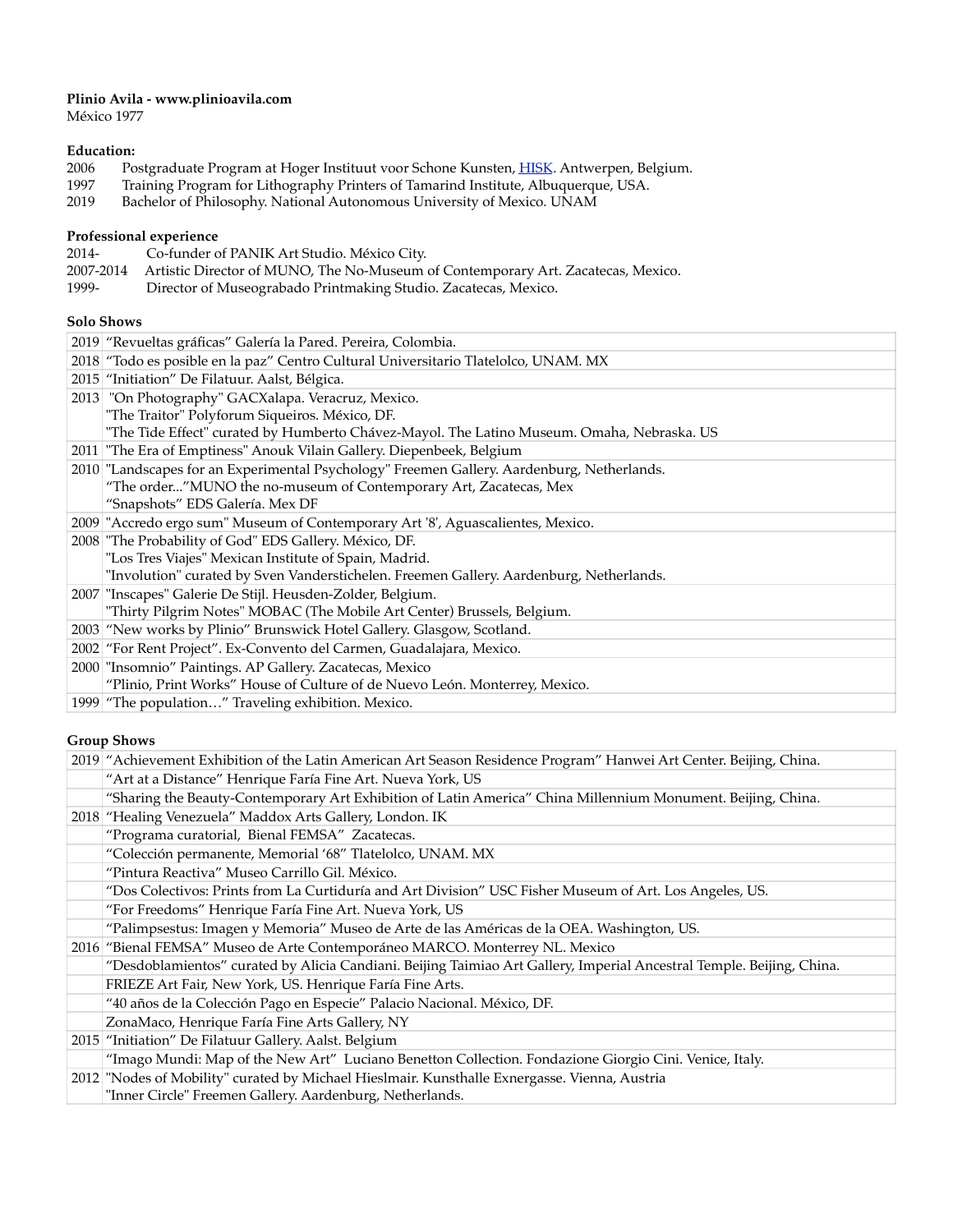## **Plinio Avila - www.plinioavila.com**

México 1977

# Education:<br>2006 Po

- 2006 Postgraduate Program at Hoger Instituut voor Schone Kunsten, <u>HISK</u>. Antwerpen, Belgium.
- 1997 Training Program for Lithography Printers of Tamarind Institute, Albuquerque, USA.
- 2019 Bachelor of Philosophy. National Autonomous University of Mexico. UNAM

## **Professional experience**

| 2014- | Co-funder of PANIK Art Studio. México City.                                                |
|-------|--------------------------------------------------------------------------------------------|
|       | 2007-2014 Artistic Director of MUNO, The No-Museum of Contemporary Art. Zacatecas, Mexico. |
| 1999- | Director of Museograbado Printmaking Studio. Zacatecas, Mexico.                            |

## **Solo Shows**

| 2019 "Revueltas gráficas" Galería la Pared. Pereira, Colombia.                             |
|--------------------------------------------------------------------------------------------|
| 2018 "Todo es posible en la paz" Centro Cultural Universitario Tlatelolco, UNAM. MX        |
| 2015 "Initiation" De Filatuur. Aalst, Bélgica.                                             |
| 2013 "On Photography" GACXalapa. Veracruz, Mexico.                                         |
| "The Traitor" Polyforum Siqueiros. México, DF.                                             |
| "The Tide Effect" curated by Humberto Chávez-Mayol. The Latino Museum. Omaha, Nebraska. US |
| 2011   "The Era of Emptiness" Anouk Vilain Gallery. Diepenbeek, Belgium                    |
| 2010 "Landscapes for an Experimental Psychology" Freemen Gallery. Aardenburg, Netherlands. |
| "The order"MUNO the no-museum of Contemporary Art, Zacatecas, Mex                          |
| "Snapshots" EDS Galería. Mex DF                                                            |
| 2009 "Accredo ergo sum" Museum of Contemporary Art '8', Aguascalientes, Mexico.            |
| 2008 "The Probability of God" EDS Gallery. México, DF.                                     |
| "Los Tres Viajes" Mexican Institute of Spain, Madrid.                                      |
| "Involution" curated by Sven Vanderstichelen. Freemen Gallery. Aardenburg, Netherlands.    |
| 2007 "Inscapes" Galerie De Stijl. Heusden-Zolder, Belgium.                                 |
| "Thirty Pilgrim Notes" MOBAC (The Mobile Art Center) Brussels, Belgium.                    |
| 2003 "New works by Plinio" Brunswick Hotel Gallery. Glasgow, Scotland.                     |
| 2002 "For Rent Project". Ex-Convento del Carmen, Guadalajara, Mexico.                      |
| 2000 "Insomnio" Paintings. AP Gallery. Zacatecas, Mexico                                   |
| "Plinio, Print Works" House of Culture of de Nuevo León. Monterrey, Mexico.                |
| 1999 "The population" Traveling exhibition. Mexico.                                        |

# **Group Shows**

| 2019 "Achievement Exhibition of the Latin American Art Season Residence Program" Hanwei Art Center. Beijing, China.   |
|-----------------------------------------------------------------------------------------------------------------------|
| "Art at a Distance" Henrique Faría Fine Art. Nueva York, US                                                           |
| "Sharing the Beauty-Contemporary Art Exhibition of Latin America" China Millennium Monument. Beijing, China.          |
| 2018 "Healing Venezuela" Maddox Arts Gallery, London. IK                                                              |
| "Programa curatorial, Bienal FEMSA" Zacatecas.                                                                        |
| "Colección permanente, Memorial '68" Tlatelolco, UNAM. MX                                                             |
| "Pintura Reactiva" Museo Carrillo Gil. México.                                                                        |
| "Dos Colectivos: Prints from La Curtiduría and Art Division" USC Fisher Museum of Art. Los Angeles, US.               |
| "For Freedoms" Henrique Faría Fine Art. Nueva York, US                                                                |
| "Palimpsestus: Imagen y Memoria" Museo de Arte de las Américas de la OEA. Washington, US.                             |
| 2016 "Bienal FEMSA" Museo de Arte Contemporáneo MARCO. Monterrey NL. Mexico                                           |
| "Desdoblamientos" curated by Alicia Candiani. Beijing Taimiao Art Gallery, Imperial Ancestral Temple. Beijing, China. |
| FRIEZE Art Fair, New York, US. Henrique Faría Fine Arts.                                                              |
| "40 años de la Colección Pago en Especie" Palacio Nacional. México, DF.                                               |
| ZonaMaco, Henrique Faría Fine Arts Gallery, NY                                                                        |
| 2015 "Initiation" De Filatuur Gallery. Aalst. Belgium                                                                 |
| "Imago Mundi: Map of the New Art" Luciano Benetton Collection. Fondazione Giorgio Cini. Venice, Italy.                |
| 2012 "Nodes of Mobility" curated by Michael Hieslmair. Kunsthalle Exnergasse. Vienna, Austria                         |
| "Inner Circle" Freemen Gallery. Aardenburg, Netherlands.                                                              |
|                                                                                                                       |